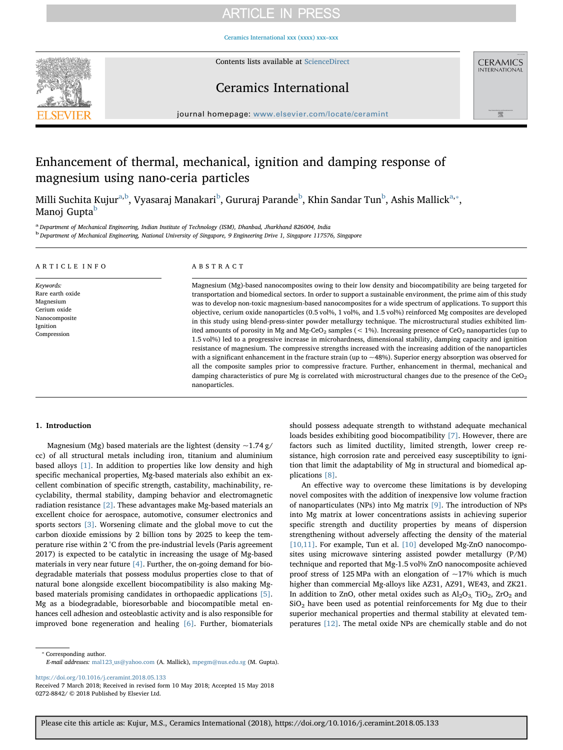# **ARTICLE IN PRESS**

[Ceramics International xxx \(xxxx\) xxx–xxx](https://doi.org/10.1016/j.ceramint.2018.05.133)



Contents lists available at [ScienceDirect](http://www.sciencedirect.com/science/journal/02728842)

## Ceramics International



 $j$ over. We however the complete  $c$ 

# Enhancement of thermal, mechanical, ignition and damping response of magnesium using nano-ceria particles

Milli Suchit[a](#page-0-0) Kujur<sup>a,[b](#page-0-1)</sup>, Vyasaraj Manakari<sup>b</sup>, Gururaj Parande<sup>b</sup>, Khin Sandar Tun<sup>b</sup>, Ashis Mallick<sup>[a,](#page-0-0)</sup>\*, Manoj Gupta<sup>[b](#page-0-1)</sup>

<span id="page-0-1"></span><span id="page-0-0"></span><sup>a</sup> Department of Mechanical Engineering, Indian Institute of Technology (ISM), Dhanbad, Jharkhand 826004, India <sup>b</sup> Department of Mechanical Engineering, National University of Singapore, 9 Engineering Drive 1, Singapore 117576, Singapore

| ARTICLE INFO                                                                                           | ABSTRACT                                                                                                                                                                                                                                                                                                                                                                                                                                                                                                                                                                                                                                                                                                                                                                                                                                                                                                                                                                                                                                                                                                                                                                                                                                                                                                                                     |
|--------------------------------------------------------------------------------------------------------|----------------------------------------------------------------------------------------------------------------------------------------------------------------------------------------------------------------------------------------------------------------------------------------------------------------------------------------------------------------------------------------------------------------------------------------------------------------------------------------------------------------------------------------------------------------------------------------------------------------------------------------------------------------------------------------------------------------------------------------------------------------------------------------------------------------------------------------------------------------------------------------------------------------------------------------------------------------------------------------------------------------------------------------------------------------------------------------------------------------------------------------------------------------------------------------------------------------------------------------------------------------------------------------------------------------------------------------------|
| Keywords:<br>Rare earth oxide<br>Magnesium<br>Cerium oxide<br>Nanocomposite<br>Ignition<br>Compression | Magnesium (Mg)-based nanocomposites owing to their low density and biocompatibility are being targeted for<br>transportation and biomedical sectors. In order to support a sustainable environment, the prime aim of this study<br>was to develop non-toxic magnesium-based nanocomposites for a wide spectrum of applications. To support this<br>objective, cerium oxide nanoparticles (0.5 vol%, 1 vol%, and 1.5 vol%) reinforced Mg composites are developed<br>in this study using blend-press-sinter powder metallurgy technique. The microstructural studies exhibited lim-<br>ited amounts of porosity in Mg and Mg-CeO <sub>2</sub> samples ( $\lt$ 1%). Increasing presence of CeO <sub>2</sub> nanoparticles (up to<br>1.5 vol%) led to a progressive increase in microhardness, dimensional stability, damping capacity and ignition<br>resistance of magnesium. The compressive strengths increased with the increasing addition of the nanoparticles<br>with a significant enhancement in the fracture strain (up to $\sim$ 48%). Superior energy absorption was observed for<br>all the composite samples prior to compressive fracture. Further, enhancement in thermal, mechanical and<br>damping characteristics of pure Mg is correlated with microstructural changes due to the presence of the $CeO2$<br>nanoparticles. |

## 1. Introduction

Magnesium (Mg) based materials are the lightest (density  $\sim$ 1.74 g/ cc) of all structural metals including iron, titanium and aluminium based alloys [\[1\]](#page--1-0). In addition to properties like low density and high specific mechanical properties, Mg-based materials also exhibit an excellent combination of specific strength, castability, machinability, recyclability, thermal stability, damping behavior and electromagnetic radiation resistance [\[2\].](#page--1-1) These advantages make Mg-based materials an excellent choice for aerospace, automotive, consumer electronics and sports sectors [\[3\]](#page--1-2). Worsening climate and the global move to cut the carbon dioxide emissions by 2 billion tons by 2025 to keep the temperature rise within 2 °C from the pre-industrial levels (Paris agreement 2017) is expected to be catalytic in increasing the usage of Mg-based materials in very near future  $[4]$ . Further, the on-going demand for biodegradable materials that possess modulus properties close to that of natural bone alongside excellent biocompatibility is also making Mgbased materials promising candidates in orthopaedic applications [\[5\]](#page--1-4). Mg as a biodegradable, bioresorbable and biocompatible metal enhances cell adhesion and osteoblastic activity and is also responsible for improved bone regeneration and healing [\[6\]](#page--1-5). Further, biomaterials should possess adequate strength to withstand adequate mechanical loads besides exhibiting good biocompatibility [\[7\]](#page--1-6). However, there are factors such as limited ductility, limited strength, lower creep resistance, high corrosion rate and perceived easy susceptibility to ignition that limit the adaptability of Mg in structural and biomedical applications [\[8\].](#page--1-7)

An effective way to overcome these limitations is by developing novel composites with the addition of inexpensive low volume fraction of nanoparticulates (NPs) into Mg matrix [\[9\]](#page--1-8). The introduction of NPs into Mg matrix at lower concentrations assists in achieving superior specific strength and ductility properties by means of dispersion strengthening without adversely affecting the density of the material [\[10,11\].](#page--1-9) For example, Tun et al. [\[10\]](#page--1-9) developed Mg-ZnO nanocomposites using microwave sintering assisted powder metallurgy (P/M) technique and reported that Mg-1.5 vol% ZnO nanocomposite achieved proof stress of 125 MPa with an elongation of  $\sim$ 17% which is much higher than commercial Mg-alloys like AZ31, AZ91, WE43, and ZK21. In addition to ZnO, other metal oxides such as  $Al_2O_3$ , TiO<sub>2</sub>, ZrO<sub>2</sub> and SiO2 have been used as potential reinforcements for Mg due to their superior mechanical properties and thermal stability at elevated temperatures [\[12\]](#page--1-10). The metal oxide NPs are chemically stable and do not

<span id="page-0-2"></span>⁎ Corresponding author.

E-mail addresses: [mal123\\_us@yahoo.com](mailto:mal123_us@yahoo.com) (A. Mallick), [mpegm@nus.edu.sg](mailto:mpegm@nus.edu.sg) (M. Gupta).

<https://doi.org/10.1016/j.ceramint.2018.05.133>

Received 7 March 2018; Received in revised form 10 May 2018; Accepted 15 May 2018 0272-8842/ © 2018 Published by Elsevier Ltd.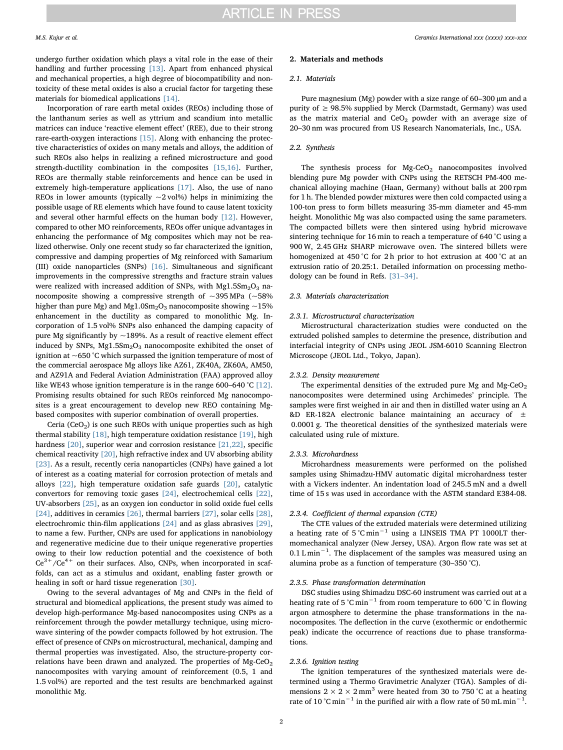undergo further oxidation which plays a vital role in the ease of their handling and further processing [\[13\]](#page--1-11). Apart from enhanced physical and mechanical properties, a high degree of biocompatibility and nontoxicity of these metal oxides is also a crucial factor for targeting these materials for biomedical applications [\[14\]](#page--1-12).

Incorporation of rare earth metal oxides (REOs) including those of the lanthanum series as well as yttrium and scandium into metallic matrices can induce 'reactive element effect' (REE), due to their strong rare-earth-oxygen interactions [\[15\]](#page--1-13). Along with enhancing the protective characteristics of oxides on many metals and alloys, the addition of such REOs also helps in realizing a refined microstructure and good strength-ductility combination in the composites [\[15,16\].](#page--1-13) Further, REOs are thermally stable reinforcements and hence can be used in extremely high-temperature applications [\[17\]](#page--1-14). Also, the use of nano REOs in lower amounts (typically  $\sim$ 2 vol%) helps in minimizing the possible usage of RE elements which have found to cause latent toxicity and several other harmful effects on the human body [\[12\].](#page--1-10) However, compared to other MO reinforcements, REOs offer unique advantages in enhancing the performance of Mg composites which may not be realized otherwise. Only one recent study so far characterized the ignition, compressive and damping properties of Mg reinforced with Samarium (III) oxide nanoparticles (SNPs) [\[16\].](#page--1-15) Simultaneous and significant improvements in the compressive strengths and fracture strain values were realized with increased addition of SNPs, with  $Mg1.5Sm<sub>2</sub>O<sub>3</sub>$  nanocomposite showing a compressive strength of  $\sim$ 395 MPa ( $\sim$ 58% higher than pure Mg) and Mg1.0Sm<sub>2</sub>O<sub>3</sub> nanocomposite showing  $\sim$ 15% enhancement in the ductility as compared to monolithic Mg. Incorporation of 1.5 vol% SNPs also enhanced the damping capacity of pure Mg significantly by  $\sim$ 189%. As a result of reactive element effect induced by SNPs, Mg1.5Sm<sub>2</sub>O<sub>3</sub> nanocomposite exhibited the onset of ignition at ~650 °C which surpassed the ignition temperature of most of the commercial aerospace Mg alloys like AZ61, ZK40A, ZK60A, AM50, and AZ91A and Federal Aviation Administration (FAA) approved alloy like WE43 whose ignition temperature is in the range 600–640 °C [\[12\]](#page--1-10). Promising results obtained for such REOs reinforced Mg nanocomposites is a great encouragement to develop new REO containing Mgbased composites with superior combination of overall properties.

Ceria (CeO<sub>2</sub>) is one such REOs with unique properties such as high thermal stability [\[18\]](#page--1-16), high temperature oxidation resistance [\[19\],](#page--1-17) high hardness [\[20\],](#page--1-18) superior wear and corrosion resistance [\[21,22\],](#page--1-19) specific chemical reactivity [\[20\]](#page--1-18), high refractive index and UV absorbing ability [\[23\]](#page--1-20). As a result, recently ceria nanoparticles (CNPs) have gained a lot of interest as a coating material for corrosion protection of metals and alloys [\[22\]](#page--1-21), high temperature oxidation safe guards [\[20\]](#page--1-18), catalytic convertors for removing toxic gases [\[24\]](#page--1-22), electrochemical cells [\[22\]](#page--1-21), UV-absorbers [\[25\],](#page--1-23) as an oxygen ion conductor in solid oxide fuel cells [\[24\]](#page--1-22), additives in ceramics [\[26\],](#page--1-24) thermal barriers [\[27\]](#page--1-25), solar cells [\[28\]](#page--1-26), electrochromic thin-film applications [\[24\]](#page--1-22) and as glass abrasives [\[29\]](#page--1-27), to name a few. Further, CNPs are used for applications in nanobiology and regenerative medicine due to their unique regenerative properties owing to their low reduction potential and the coexistence of both  $Ce^{3+}/Ce^{4+}$  on their surfaces. Also, CNPs, when incorporated in scaffolds, can act as a stimulus and oxidant, enabling faster growth or healing in soft or hard tissue regeneration [\[30\].](#page--1-28)

Owing to the several advantages of Mg and CNPs in the field of structural and biomedical applications, the present study was aimed to develop high-performance Mg-based nanocomposites using CNPs as a reinforcement through the powder metallurgy technique, using microwave sintering of the powder compacts followed by hot extrusion. The effect of presence of CNPs on microstructural, mechanical, damping and thermal properties was investigated. Also, the structure-property correlations have been drawn and analyzed. The properties of  $Mg-CeO<sub>2</sub>$ nanocomposites with varying amount of reinforcement (0.5, 1 and 1.5 vol%) are reported and the test results are benchmarked against monolithic Mg.

#### 2. Materials and methods

#### 2.1. Materials

Pure magnesium (Mg) powder with a size range of 60–300  $\mu$ m and a purity of  $\geq$  98.5% supplied by Merck (Darmstadt, Germany) was used as the matrix material and  $CeO<sub>2</sub>$  powder with an average size of 20–30 nm was procured from US Research Nanomaterials, Inc., USA.

## 2.2. Synthesis

The synthesis process for  $Mg-CeO<sub>2</sub>$  nanocomposites involved blending pure Mg powder with CNPs using the RETSCH PM-400 mechanical alloying machine (Haan, Germany) without balls at 200 rpm for 1 h. The blended powder mixtures were then cold compacted using a 100-ton press to form billets measuring 35-mm diameter and 45-mm height. Monolithic Mg was also compacted using the same parameters. The compacted billets were then sintered using hybrid microwave sintering technique for 16 min to reach a temperature of 640 °C using a 900 W, 2.45 GHz SHARP microwave oven. The sintered billets were homogenized at 450 °C for 2 h prior to hot extrusion at 400 °C at an extrusion ratio of 20.25:1. Detailed information on processing methodology can be found in Refs. [31–[34\]](#page--1-29).

## 2.3. Materials characterization

#### 2.3.1. Microstructural characterization

Microstructural characterization studies were conducted on the extruded polished samples to determine the presence, distribution and interfacial integrity of CNPs using JEOL JSM-6010 Scanning Electron Microscope (JEOL Ltd., Tokyo, Japan).

## 2.3.2. Density measurement

The experimental densities of the extruded pure Mg and Mg-CeO<sub>2</sub> nanocomposites were determined using Archimedes' principle. The samples were first weighed in air and then in distilled water using an A &D ER-182A electronic balance maintaining an accuracy of ± 0.0001 g. The theoretical densities of the synthesized materials were calculated using rule of mixture.

#### 2.3.3. Microhardness

Microhardness measurements were performed on the polished samples using Shimadzu-HMV automatic digital microhardness tester with a Vickers indenter. An indentation load of 245.5 mN and a dwell time of 15 s was used in accordance with the ASTM standard E384-08.

### 2.3.4. Coefficient of thermal expansion (CTE)

The CTE values of the extruded materials were determined utilizing a heating rate of 5 °C min−<sup>1</sup> using a LINSEIS TMA PT 1000LT thermomechanical analyzer (New Jersey, USA). Argon flow rate was set at 0.1 L min<sup>-1</sup>. The displacement of the samples was measured using an alumina probe as a function of temperature (30–350 °C).

## 2.3.5. Phase transformation determination

DSC studies using Shimadzu DSC-60 instrument was carried out at a heating rate of 5 °C min−<sup>1</sup> from room temperature to 600 °C in flowing argon atmosphere to determine the phase transformations in the nanocomposites. The deflection in the curve (exothermic or endothermic peak) indicate the occurrence of reactions due to phase transformations.

## 2.3.6. Ignition testing

The ignition temperatures of the synthesized materials were determined using a Thermo Gravimetric Analyzer (TGA). Samples of dimensions  $2 \times 2 \times 2$  mm<sup>3</sup> were heated from 30 to 750 °C at a heating rate of 10 °C min<sup>-1</sup> in the purified air with a flow rate of 50 mL min<sup>-1</sup>.